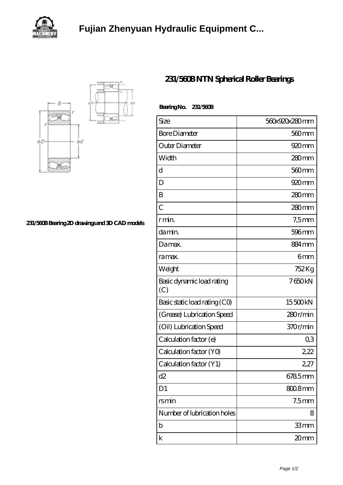

## **[Fujian Zhenyuan Hydraulic Equipment C...](https://rodgersrobots.com)**



**[231/560B Bearing 2D drawings and 3D CAD models](https://rodgersrobots.com/pic-862340.html)**

## **[231/560B NTN Spherical Roller Bearings](https://rodgersrobots.com/cylindrical-roller-bearing/231-560b.html)**

| Bearing No. 231/560B             |                   |
|----------------------------------|-------------------|
| Size                             | 560x920x280mm     |
| <b>Bore Diameter</b>             | 560 <sub>mm</sub> |
| Outer Diameter                   | 920 mm            |
| Width                            | $280$ mm          |
| d                                | 560 <sub>mm</sub> |
| D                                | 920 <sub>mm</sub> |
| B                                | 280mm             |
| $\overline{C}$                   | $280$ mm          |
| r min.                           | $7,5$ mm          |
| damin.                           | 596 <sub>mm</sub> |
| Damax.                           | 884 <sub>mm</sub> |
| ra max.                          | 6mm               |
| Weight                           | 752 Kg            |
| Basic dynamic load rating<br>(C) | 7650kN            |
| Basic static load rating (CO)    | 15500kN           |
| (Grease) Lubrication Speed       | 280r/min          |
| (Oil) Lubrication Speed          | 370r/min          |
| Calculation factor (e)           | Q3                |
| Calculation factor (YO)          | 2,22              |
| Calculation factor (Y1)          | 2,27              |
| d2                               | 6785mm            |
| D1                               | $8008$ mm         |
| rsmin                            | 7.5 <sub>mm</sub> |
| Number of lubrication holes      | 8                 |
| b                                | 33mm              |
| k                                | 20mm              |